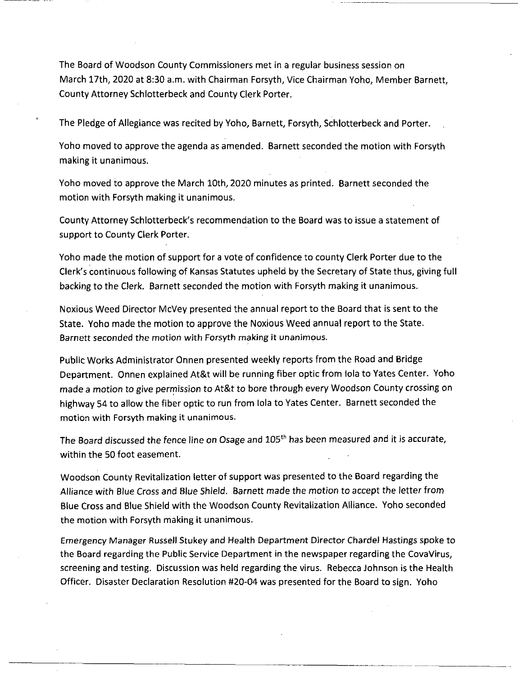The Board of Woodson County Commissioners met in a regular business session on March 17th, 2020 at 8:30 a.m. with Chairman Forsyth, Vice Chairman Yoho, Member Barnett, County Attorney Schlotterbeck and County Clerk Porter.

The Pledge of Allegiance was recited by Yoho, Barnett, Forsyth, Schlotterbeck and Porter.

Yoho moved to approve the agenda as amended. Barnett seconded the motion with Forsyth making it unanimous.

Yoho moved to approve the March 10th, 2020 minutes as printed. Barnett seconded the motion with Forsyth making it unanimous.

County Attorney Schlotterbeck's recommendation to the Board was to issue a statement of support to County Clerk Porter.

Yoho made the motion of support for <sup>a</sup> vote of confidence to county Clerk Porter due to the Clerk's continuous following of Kansas Statutes upheld by the Secretary of State thus, giving full backing to the Clerk. Barnett seconded the motion with Forsyth making it unanimous.

Noxious Weed Director McVey presented the annual report to the Board that is sent to the State. Yoho made the motion to approve the Noxious Weed annual report to the State. Barnett seconded the motion with Forsyth making it unanimous.

Public Works Administrator Onnen presented weekly reports from the Road and Bridge Department. Onnen explained At&t will be running fiber optic from lola to Yates Center. Yoho made a motion to give permission to At&t to bore through every Woodson County crossing on highway 54 to allow the fiber optic to run from lola to Yates Center. Barnett seconded the motion with Forsyth making it unanimous.

The Board discussed the fence line on Osage and 105<sup>th</sup> has been measured and it is accurate, within the 50 foot easement.

Woodson County Revitalization letter of support was presented to the Board regarding the Alliance with Blue *Cross* and Blue Shield. Barnett made the motion to accept the letter from Blue Cross and Blue Shield with the Woodson County Revitalization Alliance. Yoho seconded the motion with Forsyth making it unanimous.

Emergency Manager Russell Stukey and Health Department Director Chardel Hastings spoke to the Board regarding the Public Service Department in the newspaper regarding the CovaVirus, screening and testing. Discussion was held regarding the virus. Rebecca Johnson is the Health Officer. Disaster Declaration Resolution #20-04 was presented for the Board to sign. Yoho